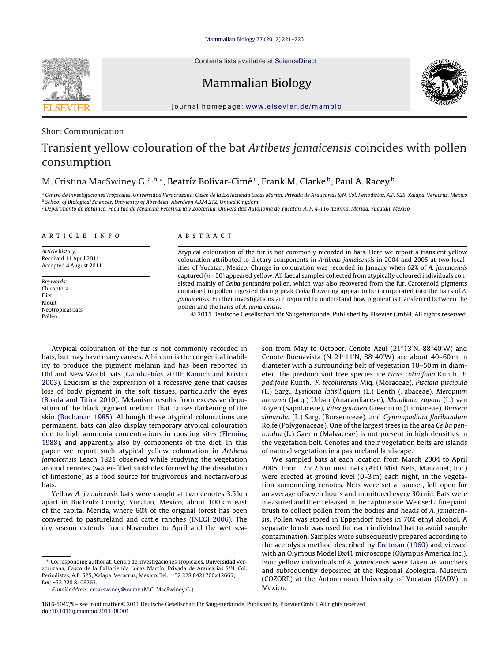

Contents lists available at [ScienceDirect](http://www.sciencedirect.com/science/journal/16165047)

## Mammalian Biology



journal homepage: [www.elsevier.de/mambio](http://www.elsevier.de/mambio)

### Short Communication

# Transient yellow colouration of the bat Artibeus jamaicensis coincides with pollen consumption

### M. Cristina MacSwiney G.<sup>a,b,∗</sup>, Beatríz Bolívar-Cimé<sup>c</sup>, Frank M. Clarke<sup>b</sup>, Paul A. Racey<sup>b</sup>

a Centro de Investigaciones Tropicales, Universidad Veracruzana, Casco de la ExHacienda Lucas Martín, Privada de Araucarias S/N. Col. Periodistas, A.P. 525, Xalapa, Veracruz, Mexico <sup>b</sup> School of Biological Sciences, University of Aberdeen, Aberdeen AB24 2TZ, United Kingdom

<sup>c</sup> Departmento de Botánica, Facultad de Medicina Veterinaria y Zootecnia, Universidad Autónoma de Yucatán, A. P. 4-116 Itzimná, Mérida, Yucatán, Mexico

#### article info

Article history: Received 11 April 2011 Accepted 4 August 2011

Keywords: Chiroptera Diet Moult Neotropical bats Pollen

#### **ABSTRACT**

Atypical colouration of the fur is not commonly recorded in bats. Here we report a transient yellow colouration attributed to dietary components in Artibeus jamaicensis in 2004 and 2005 at two localities of Yucatan, Mexico. Change in colouration was recorded in January when 62% of A. jamaicensis captured  $(n = 50)$  appeared yellow. All faecal samples collected from atypically coloured individuals consisted mainly of Ceiba pentandra pollen, which was also recovered from the fur. Carotenoid pigments contained in pollen ingested during peak Ceiba flowering appear to be incorporated into the hairs of A. jamaicensis. Further investigations are required to understand how pigment is transferred between the pollen and the hairs of A. jamaicensis.

© 2011 Deutsche Gesellschaft für Säugetierkunde. Published by Elsevier GmbH. All rights reserved.

Atypical colouration of the fur is not commonly recorded in bats, but may have many causes. Albinism is the congenital inability to produce the pigment melanin and has been reported in Old and New World bats ([Gamba-Ríos 2010; Kanuch and Kristin](#page-1-0) [2003\).](#page-1-0) Leucism is the expression of a recessive gene that causes loss of body pigment in the soft tissues, particularly the eyes ([Boada and Titira 2010\).](#page-1-0) Melanism results from excessive deposition of the black pigment melanin that causes darkening of the skin [\(Buchanan 1985\).](#page-1-0) Although these atypical colourations are permanent, bats can also display temporary atypical colouration due to high ammonia concentrations in roosting sites ([Fleming](#page-1-0) [1988\),](#page-1-0) and apparently also by components of the diet. In this paper we report such atypical yellow colouration in Artibeus jamaicensis Leach 1821 observed while studying the vegetation around cenotes (water-filled sinkholes formed by the dissolution of limestone) as a food source for frugivorous and nectarivorous bats.

Yellow A. jamaicensis bats were caught at two cenotes 3.5 km apart in Buctzotz County, Yucatan, Mexico, about 100 km east of the capital Merida, where 60% of the original forest has been converted to pastureland and cattle ranches [\(INEGI 2006\).](#page-1-0) The dry season extends from November to April and the wet sea-

son from May to October. Cenote Azul (21◦13 N, 88◦40 W) and Cenote Buenavista (N 21◦11 N, 88◦40 W) are about 40–60 m in diameter with a surrounding belt of vegetation 10–50 m in diameter. The predominant tree species are Ficus cotinifolia Kunth., F. padifolia Kunth., F. tecolutensis Miq. (Moraceae), Piscidia piscipula (L.) Sarg., Lysiloma latisiliquum (L.) Benth (Fabaceae), Metopium brownei (Jacq.) Urban (Anacardiaceae), Manilkara zapota (L.) van Royen (Sapotaceae), Vitex gaumeri Greenman (Lamiaceae), Bursera simaruba (L.) Sarg. (Burseraceae), and Gymnopodium floribundum Rolfe (Polygonaceae). One of the largest trees in the area Ceiba pentandra (L.) Gaertn (Malvaceae) is not present in high densities in the vegetation belt. Cenotes and their vegetation belts are islands of natural vegetation in a pastureland landscape.

We sampled bats at each location from March 2004 to April 2005. Four  $12 \times 2.6$  m mist nets (AFO Mist Nets, Manomet, Inc.) were erected at ground level (0–3 m) each night, in the vegetation surrounding cenotes. Nets were set at sunset, left open for an average of seven hours and monitored every 30 min. Bats were measured and then released in the capture site.We used a fine paint brush to collect pollen from the bodies and heads of A. jamaicensis. Pollen was stored in Eppendorf tubes in 70% ethyl alcohol. A separate brush was used for each individual bat to avoid sample contamination. Samples were subsequently prepared according to the acetolysis method described by [Erdtman \(1960\)](#page-1-0) and viewed with an Olympus Model Bx41 microscope (Olympus America Inc.). Four yellow individuals of A. jamaicensis were taken as vouchers and subsequently deposited at the Regional Zoological Museum (COZORE) at the Autonomous University of Yucatan (UADY) in Mexico.

<sup>∗</sup> Corresponding author at: Centro de Investigaciones Tropicales, Universidad Veracruzana, Casco de la ExHacienda Lucas Martín, Privada de Araucarias S/N. Col. Periodistas, A.P. 525, Xalapa, Veracruz, Mexico. Tel.: +52 228 8421700x12665; fax: +52 228 8108263.

E-mail address: [cmacswiney@uv.mx](mailto:cmacswiney@uv.mx) (M.C. MacSwiney G.).

<sup>1616-5047/\$ –</sup> see front matter © 2011 Deutsche Gesellschaft für Säugetierkunde. Published by Elsevier GmbH. All rights reserved. doi:[10.1016/j.mambio.2011.08.001](dx.doi.org/10.1016/j.mambio.2011.08.001)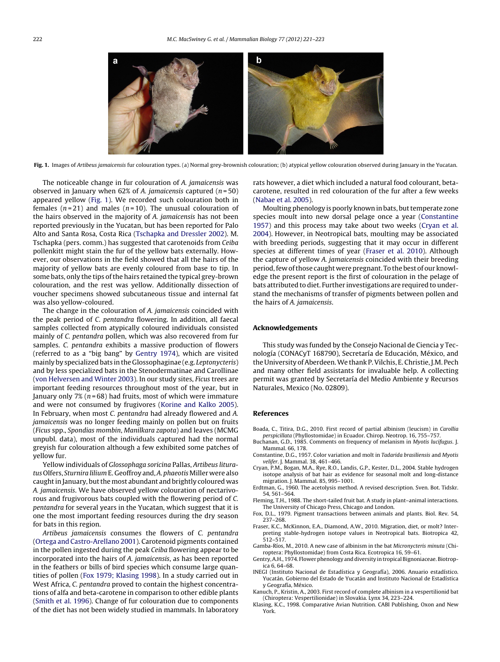<span id="page-1-0"></span>

**Fig. 1.** Images of Artibeus jamaicensis fur colouration types. (a) Normal grey-brownish colouration; (b) atypical yellow colouration observed during January in the Yucatan.

The noticeable change in fur colouration of A. jamaicensis was observed in January when 62% of A. jamaicensis captured ( $n = 50$ ) appeared yellow (Fig. 1). We recorded such colouration both in females ( $n = 21$ ) and males ( $n = 10$ ). The unusual colouration of the hairs observed in the majority of A. jamaicensis has not been reported previously in the Yucatan, but has been reported for Palo Alto and Santa Rosa, Costa Rica [\(Tschapka and Dressler 2002\).](#page-2-0) M. Tschapka (pers. comm.) has suggested that carotenoids from Ceiba pollenkitt might stain the fur of the yellow bats externally. However, our observations in the field showed that all the hairs of the majority of yellow bats are evenly coloured from base to tip. In some bats, only the tips of the hairs retained the typical grey-brown colouration, and the rest was yellow. Additionally dissection of voucher specimens showed subcutaneous tissue and internal fat was also yellow-coloured.

The change in the colouration of A. jamaicensis coincided with the peak period of C. pentandra flowering. In addition, all faecal samples collected from atypically coloured individuals consisted mainly of C. pentandra pollen, which was also recovered from fur samples. C. pentandra exhibits a massive production of flowers (referred to as a "big bang" by Gentry 1974), which are visited mainly by specialized bats in the Glossophaginae (e.g. Leptonycteris) and by less specialized bats in the Stenodermatinae and Carollinae ([von Helversen and Winter 2003\).](#page-2-0) In our study sites, Ficus trees are important feeding resources throughout most of the year, but in January only 7% ( $n = 68$ ) had fruits, most of which were immature and were not consumed by frugivores [\(Korine and Kalko 2005\).](#page-2-0) In February, when most C. pentandra had already flowered and A. jamaicensis was no longer feeding mainly on pollen but on fruits (Ficus spp., Spondias mombin, Manilkara zapota) and leaves (MCMG unpubl. data), most of the individuals captured had the normal greyish fur colouration although a few exhibited some patches of yellow fur.

Yellow individuals of Glossophaga soricina Pallas, Artibeus lituratus Olfers, Sturnira lilium E. Geoffroy and, A. phaeotis Miller were also caught in January, but the most abundant and brightly coloured was A. jamaicensis. We have observed yellow colouration of nectarivorous and frugivorous bats coupled with the flowering period of C. pentandra for several years in the Yucatan, which suggest that it is one the most important feeding resources during the dry season for bats in this region.

Artibeus jamaicensis consumes the flowers of C. pentandra ([Ortega and Castro-Arellano 2001\).](#page-2-0) Carotenoid pigments contained in the pollen ingested during the peak Ceiba flowering appear to be incorporated into the hairs of A. jamaicensis, as has been reported in the feathers or bills of bird species which consume large quantities of pollen (Fox 1979; Klasing 1998). In a study carried out in West Africa, C. pentandra proved to contain the highest concentrations of alfa and beta-carotene in comparison to other edible plants ([Smith et al. 1996\).](#page-2-0) Change of fur colouration due to components of the diet has not been widely studied in mammals. In laboratory

rats however, a diet which included a natural food colourant, betacarotene, resulted in red colouration of the fur after a few weeks [\(Nabae et al. 2005\).](#page-2-0)

Moulting phenology is poorly known in bats, but temperate zone species moult into new dorsal pelage once a year (Constantine 1957) and this process may take about two weeks (Cryan et al. 2004). However, in Neotropical bats, moulting may be associated with breeding periods, suggesting that it may occur in different species at different times of year (Fraser et al. 2010). Although the capture of yellow A. jamaicensis coincided with their breeding period, few of those caught were pregnant. To the best of our knowledge the present report is the first of colouration in the pelage of bats attributed to diet. Further investigations are required to understand the mechanisms of transfer of pigments between pollen and the hairs of A. jamaicensis.

#### **Acknowledgements**

This study was funded by the Consejo Nacional de Ciencia y Tecnología (CONACyT 168790), Secretaría de Educación, México, and the University of Aberdeen.We thank P. Vilchis, E. Christie, J.M. Pech and many other field assistants for invaluable help. A collecting permit was granted by Secretaría del Medio Ambiente y Recursos Naturales, Mexico (No. 02809).

#### **References**

- Boada, C., Titira, D.G., 2010. First record of partial albinism (leucism) in Carollia perspicillata (Phyllostomidae) in Ecuador. Chirop. Neotrop. 16, 755–757.
- Buchanan, G.D., 1985. Comments on frequency of melanism in Myotis lucifugus. J. Mammal. 66, 178.
- Constantine, D.G., 1957. Color variation and molt in Tadarida brasiliensis and Myotis velifer. J. Mammal. 38, 461–466.
- Cryan, P.M., Bogan, M.A., Rye, R.O., Landis, G.P., Kester, D.L., 2004. Stable hydrogen isotope analysis of bat hair as evidence for seasonal molt and long-distance migration. J. Mammal. 85, 995–1001.
- Erdtman, G., 1960. The acetolysis method. A revised description. Sven. Bot. Tidskr. 54, 561–564.
- Fleming, T.H., 1988. The short-tailed fruit bat. A study in plant–animal interactions. The University of Chicago Press, Chicago and London.
- Fox, D.L., 1979. Pigment transactions between animals and plants. Biol. Rev. 54, 237–268.
- Fraser, K.C., McKinnon, E.A., Diamond, A.W., 2010. Migration, diet, or molt? Interpreting stable-hydrogen isotope values in Neotropical bats. Biotropica 42, 512–517.
- Gamba-Ríos, M., 2010. A new case of albinism in the bat Micronycteris minuta (Chiroptera: Phyllostomidae) from Costa Rica. Ecotropica 16, 59–61.
- Gentry, A.H., 1974. Flower phenology and diversity in tropical Bignoniaceae. Biotropica 6, 64–68.
- INEGI (Instituto Nacional de Estadística y Geografía), 2006. Anuario estadístico. Yucatán. Gobierno del Estado de Yucatán and Instituto Nacional de Estadística y Geografía, México.
- Kanuch, P., Kristin, A., 2003. First record of complete albinism in a vespertilionid bat (Chiroptera: Vespertilionidae) in Slovakia. Lynx 34, 223–224.
- Klasing, K.C., 1998. Comparative Avian Nutrition. CABI Publishing, Oxon and New York.